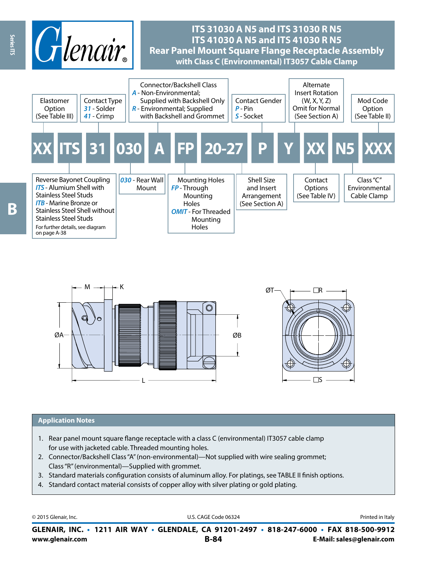



#### **Application Notes**

- 1. Rear panel mount square flange receptacle with a class C (environmental) IT3057 cable clamp for use with jacketed cable. Threaded mounting holes.
- 2. Connector/Backshell Class "A" (non-environmental)—Not supplied with wire sealing grommet; Class "R" (environmental)—Supplied with grommet.
- 3. Standard materials configuration consists of aluminum alloy. For platings, see TABLE II finish options.
- 4. Standard contact material consists of copper alloy with silver plating or gold plating.

© 2015 Glenair, Inc. **Discription Construction Construction Construction Construction Construction Construction Construction Construction Construction Construction Construction Construction Construction Construction Constr** 

**www.glenair.com B-84 E-Mail: sales@glenair.com GLENAIR, INC. • 1211 AIR WAY • GLENDALE, CA 91201-2497 • 818-247-6000 • FAX 818-500-9912**